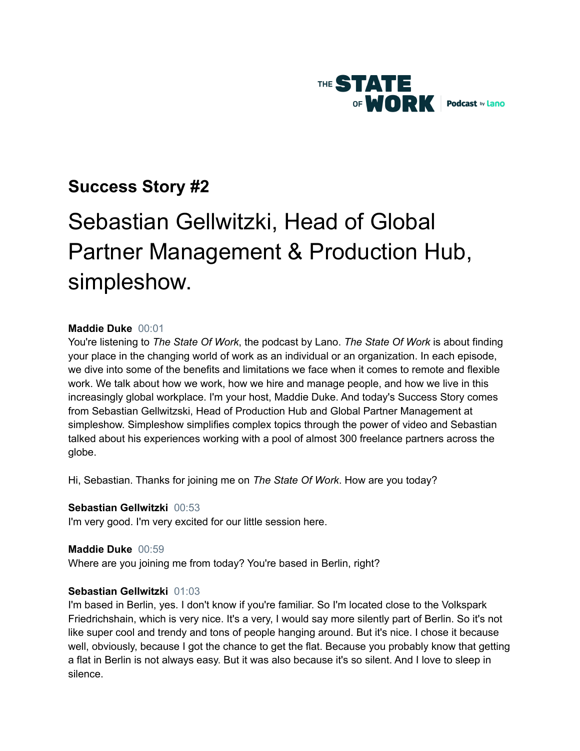

# **Success Story #2**

# Sebastian Gellwitzki, Head of Global Partner Management & Production Hub, simpleshow.

# **Maddie Duke** 00:01

You're listening to *The State Of Work*, the podcast by Lano. *The State Of Work* is about finding your place in the changing world of work as an individual or an organization. In each episode, we dive into some of the benefits and limitations we face when it comes to remote and flexible work. We talk about how we work, how we hire and manage people, and how we live in this increasingly global workplace. I'm your host, Maddie Duke. And today's Success Story comes from Sebastian Gellwitzski, Head of Production Hub and Global Partner Management at simpleshow. Simpleshow simplifies complex topics through the power of video and Sebastian talked about his experiences working with a pool of almost 300 freelance partners across the globe.

Hi, Sebastian. Thanks for joining me on *The State Of Work*. How are you today?

# **Sebastian Gellwitzki** 00:53

I'm very good. I'm very excited for our little session here.

# **Maddie Duke** 00:59

Where are you joining me from today? You're based in Berlin, right?

# **Sebastian Gellwitzki** 01:03

I'm based in Berlin, yes. I don't know if you're familiar. So I'm located close to the Volkspark Friedrichshain, which is very nice. It's a very, I would say more silently part of Berlin. So it's not like super cool and trendy and tons of people hanging around. But it's nice. I chose it because well, obviously, because I got the chance to get the flat. Because you probably know that getting a flat in Berlin is not always easy. But it was also because it's so silent. And I love to sleep in silence.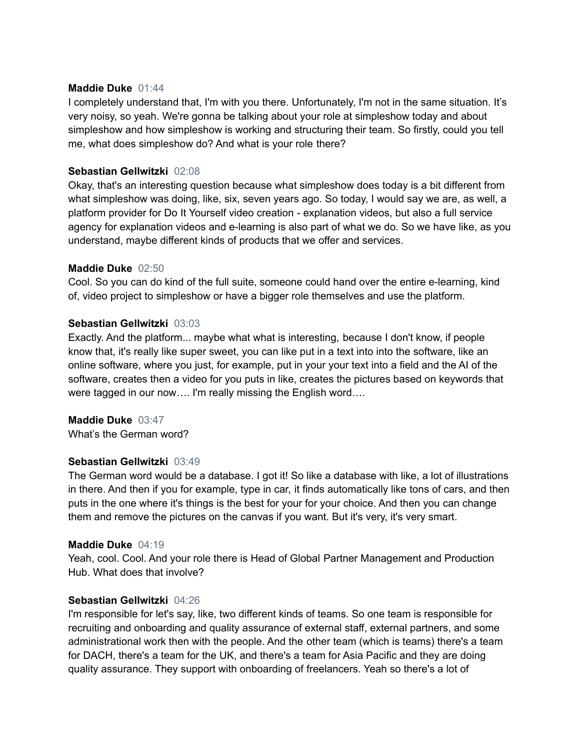# **Maddie Duke** 01:44

I completely understand that, I'm with you there. Unfortunately, I'm not in the same situation. It's very noisy, so yeah. We're gonna be talking about your role at simpleshow today and about simpleshow and how simpleshow is working and structuring their team. So firstly, could you tell me, what does simpleshow do? And what is your role there?

# **Sebastian Gellwitzki** 02:08

Okay, that's an interesting question because what simpleshow does today is a bit different from what simpleshow was doing, like, six, seven years ago. So today, I would say we are, as well, a platform provider for Do It Yourself video creation - explanation videos, but also a full service agency for explanation videos and e-learning is also part of what we do. So we have like, as you understand, maybe different kinds of products that we offer and services.

# **Maddie Duke** 02:50

Cool. So you can do kind of the full suite, someone could hand over the entire e-learning, kind of, video project to simpleshow or have a bigger role themselves and use the platform.

# **Sebastian Gellwitzki** 03:03

Exactly. And the platform... maybe what what is interesting, because I don't know, if people know that, it's really like super sweet, you can like put in a text into into the software, like an online software, where you just, for example, put in your your text into a field and the AI of the software, creates then a video for you puts in like, creates the pictures based on keywords that were tagged in our now…. I'm really missing the English word….

#### **Maddie Duke** 03:47

What's the German word?

# **Sebastian Gellwitzki** 03:49

The German word would be a database. I got it! So like a database with like, a lot of illustrations in there. And then if you for example, type in car, it finds automatically like tons of cars, and then puts in the one where it's things is the best for your for your choice. And then you can change them and remove the pictures on the canvas if you want. But it's very, it's very smart.

#### **Maddie Duke** 04:19

Yeah, cool. Cool. And your role there is Head of Global Partner Management and Production Hub. What does that involve?

#### **Sebastian Gellwitzki** 04:26

I'm responsible for let's say, like, two different kinds of teams. So one team is responsible for recruiting and onboarding and quality assurance of external staff, external partners, and some administrational work then with the people. And the other team (which is teams) there's a team for DACH, there's a team for the UK, and there's a team for Asia Pacific and they are doing quality assurance. They support with onboarding of freelancers. Yeah so there's a lot of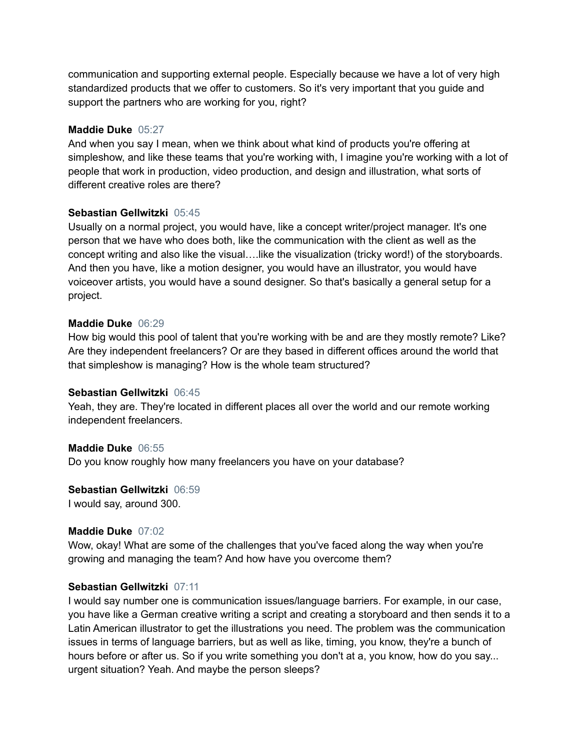communication and supporting external people. Especially because we have a lot of very high standardized products that we offer to customers. So it's very important that you guide and support the partners who are working for you, right?

# **Maddie Duke** 05:27

And when you say I mean, when we think about what kind of products you're offering at simpleshow, and like these teams that you're working with, I imagine you're working with a lot of people that work in production, video production, and design and illustration, what sorts of different creative roles are there?

# **Sebastian Gellwitzki** 05:45

Usually on a normal project, you would have, like a concept writer/project manager. It's one person that we have who does both, like the communication with the client as well as the concept writing and also like the visual….like the visualization (tricky word!) of the storyboards. And then you have, like a motion designer, you would have an illustrator, you would have voiceover artists, you would have a sound designer. So that's basically a general setup for a project.

# **Maddie Duke** 06:29

How big would this pool of talent that you're working with be and are they mostly remote? Like? Are they independent freelancers? Or are they based in different offices around the world that that simpleshow is managing? How is the whole team structured?

#### **Sebastian Gellwitzki** 06:45

Yeah, they are. They're located in different places all over the world and our remote working independent freelancers.

# **Maddie Duke** 06:55

Do you know roughly how many freelancers you have on your database?

**Sebastian Gellwitzki** 06:59

I would say, around 300.

#### **Maddie Duke** 07:02

Wow, okay! What are some of the challenges that you've faced along the way when you're growing and managing the team? And how have you overcome them?

# **Sebastian Gellwitzki** 07:11

I would say number one is communication issues/language barriers. For example, in our case, you have like a German creative writing a script and creating a storyboard and then sends it to a Latin American illustrator to get the illustrations you need. The problem was the communication issues in terms of language barriers, but as well as like, timing, you know, they're a bunch of hours before or after us. So if you write something you don't at a, you know, how do you say... urgent situation? Yeah. And maybe the person sleeps?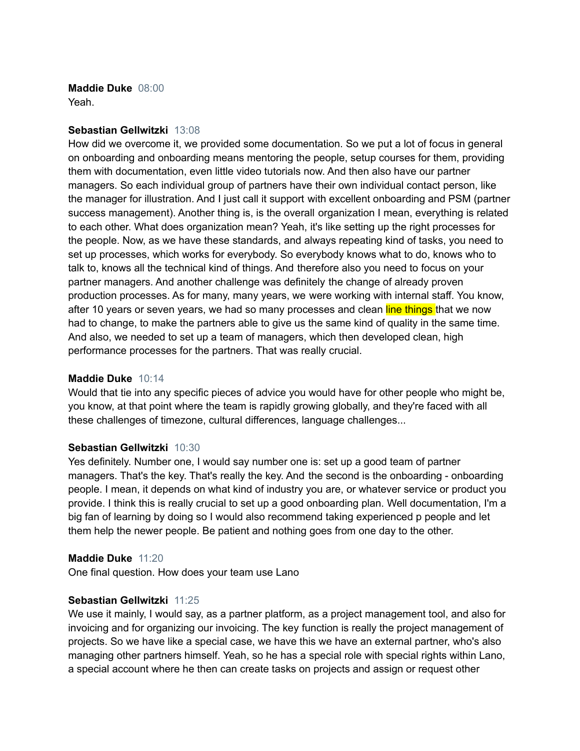**Maddie Duke** 08:00 Yeah.

#### **Sebastian Gellwitzki** 13:08

How did we overcome it, we provided some documentation. So we put a lot of focus in general on onboarding and onboarding means mentoring the people, setup courses for them, providing them with documentation, even little video tutorials now. And then also have our partner managers. So each individual group of partners have their own individual contact person, like the manager for illustration. And I just call it support with excellent onboarding and PSM (partner success management). Another thing is, is the overall organization I mean, everything is related to each other. What does organization mean? Yeah, it's like setting up the right processes for the people. Now, as we have these standards, and always repeating kind of tasks, you need to set up processes, which works for everybody. So everybody knows what to do, knows who to talk to, knows all the technical kind of things. And therefore also you need to focus on your partner managers. And another challenge was definitely the change of already proven production processes. As for many, many years, we were working with internal staff. You know, after 10 years or seven years, we had so many processes and clean line things that we now had to change, to make the partners able to give us the same kind of quality in the same time. And also, we needed to set up a team of managers, which then developed clean, high performance processes for the partners. That was really crucial.

#### **Maddie Duke** 10:14

Would that tie into any specific pieces of advice you would have for other people who might be, you know, at that point where the team is rapidly growing globally, and they're faced with all these challenges of timezone, cultural differences, language challenges...

#### **Sebastian Gellwitzki** 10:30

Yes definitely. Number one, I would say number one is: set up a good team of partner managers. That's the key. That's really the key. And the second is the onboarding - onboarding people. I mean, it depends on what kind of industry you are, or whatever service or product you provide. I think this is really crucial to set up a good onboarding plan. Well documentation, I'm a big fan of learning by doing so I would also recommend taking experienced p people and let them help the newer people. Be patient and nothing goes from one day to the other.

#### **Maddie Duke** 11:20

One final question. How does your team use Lano

#### **Sebastian Gellwitzki** 11:25

We use it mainly, I would say, as a partner platform, as a project management tool, and also for invoicing and for organizing our invoicing. The key function is really the project management of projects. So we have like a special case, we have this we have an external partner, who's also managing other partners himself. Yeah, so he has a special role with special rights within Lano, a special account where he then can create tasks on projects and assign or request other